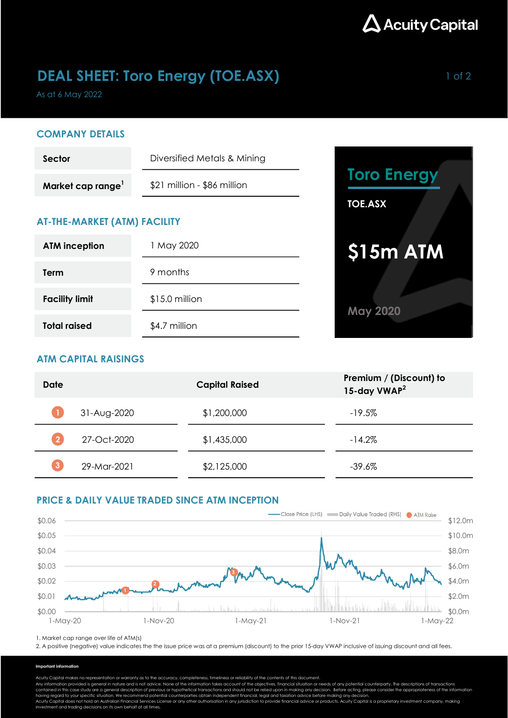

## **DEAL SHEET: Toro Energy (TOE.ASX)** 1 of 2

As at 6 May 2022

### COMPANY DETAILS

| Sector                        | Diversified Metals & Mining |  |  |
|-------------------------------|-----------------------------|--|--|
| Market cap range <sup>1</sup> | \$21 million - \$86 million |  |  |

## AT-THE-MARKET (ATM) FACILITY

| <b>ATM inception</b>  | 1 May 2020      |  |  |
|-----------------------|-----------------|--|--|
| Term                  | 9 months        |  |  |
| <b>Facility limit</b> | $$15.0$ million |  |  |
| <b>Total raised</b>   | \$4.7 million   |  |  |



## ATM CAPITAL RAISINGS

| Date | <b>Capital Raised</b> |             | Premium / (Discount) to<br>15-day VWAP <sup>2</sup> |
|------|-----------------------|-------------|-----------------------------------------------------|
|      | 31-Aug-2020           | \$1,200,000 | $-19.5%$                                            |
|      | 27-Oct-2020           | \$1,435,000 | $-14.2%$                                            |
|      | 29-Mar-2021           | \$2,125,000 | $-39.6%$                                            |

## PRICE & DAILY VALUE TRADED SINCE ATM INCEPTION



1. Market cap range over life of ATM(s)

2. A positive (negative) value indicates the the issue price was at a premium (discount) to the prior 15-day VWAP inclusive of issuing discount and all fees.

#### Important information

Acuity Capital makes no representation or warranty as to the accuracy, completeness, timeliness or reliability of the contents of this document.

Any information provided is general in nature and is not advice. None of the information takes account of the objectives, financial situation or needs of any potential counterparty. The descriptions of transactions<br>contain

having regard to your specific situation. We recommend potential counterparties obtain independent financial, legal and taxation advice before making any decision.<br>Acuity Capital does not hold an Australian Financial Servi investment and trading decisions on its own behalf at all times.